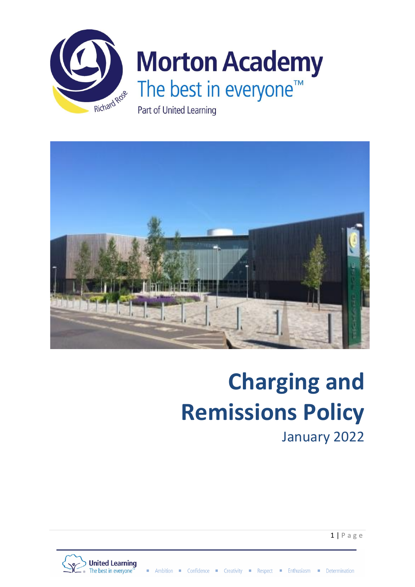



# **Charging and Remissions Policy**

January 2022

 $1 | P$  a g e

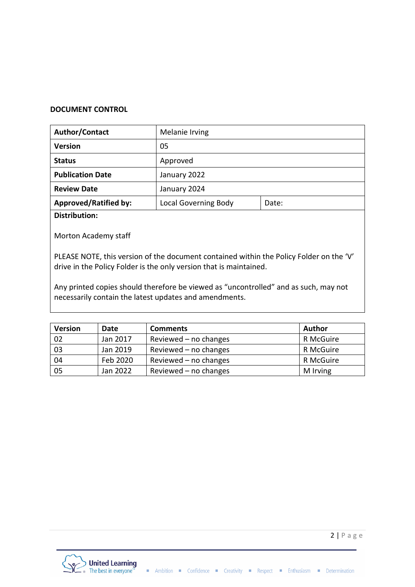## **DOCUMENT CONTROL**

| Author/Contact               | Melanie Irving              |       |  |
|------------------------------|-----------------------------|-------|--|
| <b>Version</b>               | 05                          |       |  |
| <b>Status</b>                | Approved                    |       |  |
| <b>Publication Date</b>      | January 2022                |       |  |
| <b>Review Date</b>           | January 2024                |       |  |
| <b>Approved/Ratified by:</b> | <b>Local Governing Body</b> | Date: |  |
|                              |                             |       |  |

**Distribution:**

Morton Academy staff

PLEASE NOTE, this version of the document contained within the Policy Folder on the 'V' drive in the Policy Folder is the only version that is maintained.

Any printed copies should therefore be viewed as "uncontrolled" and as such, may not necessarily contain the latest updates and amendments.

| <b>Version</b> | Date     | <b>Comments</b>         | <b>Author</b> |
|----------------|----------|-------------------------|---------------|
| 02             | Jan 2017 | Reviewed $-$ no changes | R McGuire     |
| 03             | Jan 2019 | Reviewed $-$ no changes | R McGuire     |
| 04             | Feb 2020 | Reviewed $-$ no changes | R McGuire     |
| 05             | Jan 2022 | Reviewed $-$ no changes | M Irving      |

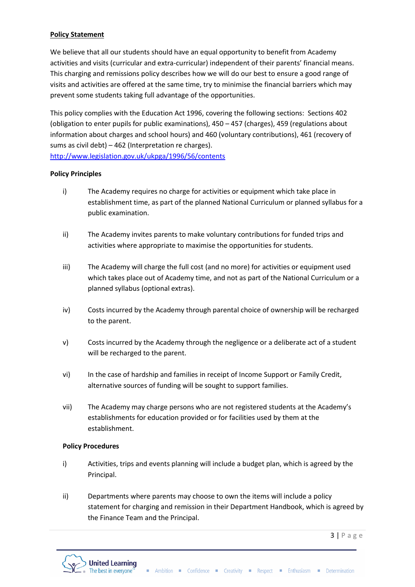## **Policy Statement**

We believe that all our students should have an equal opportunity to benefit from Academy activities and visits (curricular and extra-curricular) independent of their parents' financial means. This charging and remissions policy describes how we will do our best to ensure a good range of visits and activities are offered at the same time, try to minimise the financial barriers which may prevent some students taking full advantage of the opportunities.

This policy complies with the Education Act 1996, covering the following sections: Sections 402 (obligation to enter pupils for public examinations), 450 – 457 (charges), 459 (regulations about information about charges and school hours) and 460 (voluntary contributions), 461 (recovery of sums as civil debt) – 462 (Interpretation re charges). <http://www.legislation.gov.uk/ukpga/1996/56/contents>

### **Policy Principles**

- i) The Academy requires no charge for activities or equipment which take place in establishment time, as part of the planned National Curriculum or planned syllabus for a public examination.
- ii) The Academy invites parents to make voluntary contributions for funded trips and activities where appropriate to maximise the opportunities for students.
- iii) The Academy will charge the full cost (and no more) for activities or equipment used which takes place out of Academy time, and not as part of the National Curriculum or a planned syllabus (optional extras).
- iv) Costs incurred by the Academy through parental choice of ownership will be recharged to the parent.
- v) Costs incurred by the Academy through the negligence or a deliberate act of a student will be recharged to the parent.
- vi) In the case of hardship and families in receipt of Income Support or Family Credit, alternative sources of funding will be sought to support families.
- vii) The Academy may charge persons who are not registered students at the Academy's establishments for education provided or for facilities used by them at the establishment.

### **Policy Procedures**

- i) Activities, trips and events planning will include a budget plan, which is agreed by the Principal.
- ii) Departments where parents may choose to own the items will include a policy statement for charging and remission in their Department Handbook, which is agreed by the Finance Team and the Principal.

 $3 | P \text{age}$